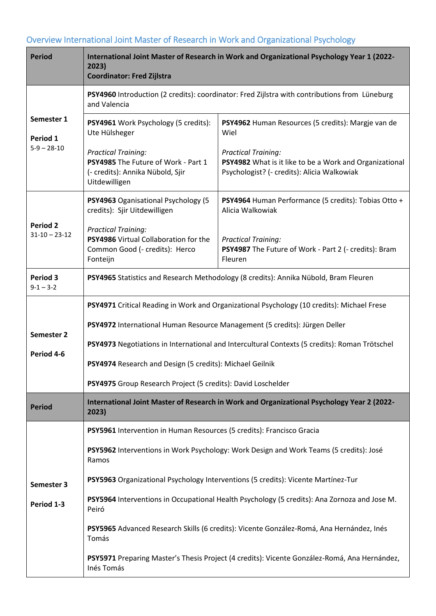## Overview International Joint Master of Research in Work and Organizational Psychology

| <b>Period</b>                           | International Joint Master of Research in Work and Organizational Psychology Year 1 (2022-<br>2023)<br><b>Coordinator: Fred Zijlstra</b> |                                                                                                                                      |  |
|-----------------------------------------|------------------------------------------------------------------------------------------------------------------------------------------|--------------------------------------------------------------------------------------------------------------------------------------|--|
| Semester 1<br>Period 1<br>$5-9 - 28-10$ | PSY4960 Introduction (2 credits): coordinator: Fred Zijlstra with contributions from Lüneburg<br>and Valencia                            |                                                                                                                                      |  |
|                                         | PSY4961 Work Psychology (5 credits):<br>Ute Hülsheger                                                                                    | PSY4962 Human Resources (5 credits): Margie van de<br>Wiel                                                                           |  |
|                                         | <b>Practical Training:</b><br>PSY4985 The Future of Work - Part 1<br>(- credits): Annika Nübold, Sjir<br>Uitdewilligen                   | <b>Practical Training:</b><br>PSY4982 What is it like to be a Work and Organizational<br>Psychologist? (- credits): Alicia Walkowiak |  |
| <b>Period 2</b><br>$31-10 - 23-12$      | PSY4963 Oganisational Psychology (5<br>credits): Sjir Uitdewilligen                                                                      | PSY4964 Human Performance (5 credits): Tobias Otto +<br>Alicia Walkowiak                                                             |  |
|                                         | <b>Practical Training:</b><br>PSY4986 Virtual Collaboration for the<br>Common Good (- credits): Herco<br>Fonteijn                        | <b>Practical Training:</b><br>PSY4987 The Future of Work - Part 2 (- credits): Bram<br>Fleuren                                       |  |
| <b>Period 3</b><br>$9 - 1 - 3 - 2$      | PSY4965 Statistics and Research Methodology (8 credits): Annika Nübold, Bram Fleuren                                                     |                                                                                                                                      |  |
|                                         | PSY4971 Critical Reading in Work and Organizational Psychology (10 credits): Michael Frese                                               |                                                                                                                                      |  |
|                                         | PSY4972 International Human Resource Management (5 credits): Jürgen Deller                                                               |                                                                                                                                      |  |
| Semester 2<br>Period 4-6                |                                                                                                                                          | PSY4973 Negotiations in International and Intercultural Contexts (5 credits): Roman Trötschel                                        |  |
|                                         | PSY4974 Research and Design (5 credits): Michael Geilnik                                                                                 |                                                                                                                                      |  |
|                                         | PSY4975 Group Research Project (5 credits): David Loschelder                                                                             |                                                                                                                                      |  |
| <b>Period</b>                           | International Joint Master of Research in Work and Organizational Psychology Year 2 (2022-<br>2023)                                      |                                                                                                                                      |  |
|                                         | PSY5961 Intervention in Human Resources (5 credits): Francisco Gracia                                                                    |                                                                                                                                      |  |
|                                         | PSY5962 Interventions in Work Psychology: Work Design and Work Teams (5 credits): José<br>Ramos                                          |                                                                                                                                      |  |
| Semester 3                              | PSY5963 Organizational Psychology Interventions (5 credits): Vicente Martínez-Tur                                                        |                                                                                                                                      |  |
| Period 1-3                              | PSY5964 Interventions in Occupational Health Psychology (5 credits): Ana Zornoza and Jose M.<br>Peiró                                    |                                                                                                                                      |  |
|                                         | PSY5965 Advanced Research Skills (6 credits): Vicente González-Romá, Ana Hernández, Inés<br>Tomás                                        |                                                                                                                                      |  |
|                                         | Inés Tomás                                                                                                                               | PSY5971 Preparing Master's Thesis Project (4 credits): Vicente González-Romá, Ana Hernández,                                         |  |